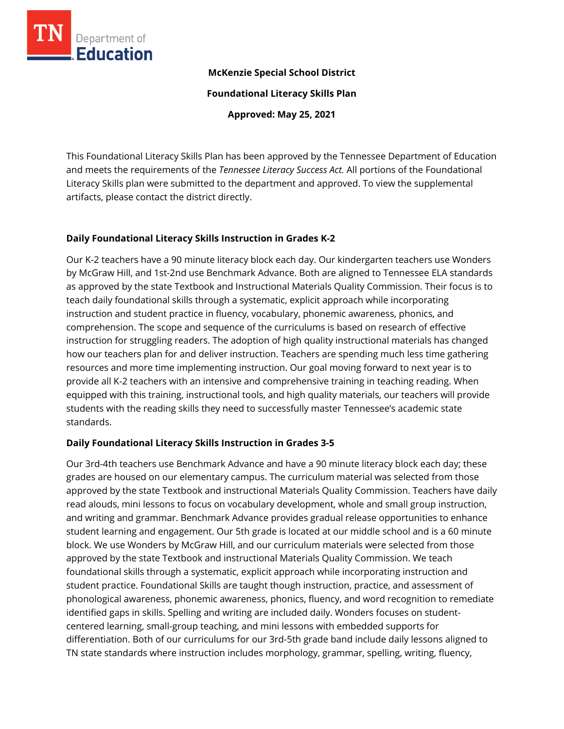

## **McKenzie Special School District**

**Foundational Literacy Skills Plan**

**Approved: May 25, 2021**

This Foundational Literacy Skills Plan has been approved by the Tennessee Department of Education and meets the requirements of the *Tennessee Literacy Success Act.* All portions of the Foundational Literacy Skills plan were submitted to the department and approved. To view the supplemental artifacts, please contact the district directly.

# **Daily Foundational Literacy Skills Instruction in Grades K-2**

Our K-2 teachers have a 90 minute literacy block each day. Our kindergarten teachers use Wonders by McGraw Hill, and 1st-2nd use Benchmark Advance. Both are aligned to Tennessee ELA standards as approved by the state Textbook and Instructional Materials Quality Commission. Their focus is to teach daily foundational skills through a systematic, explicit approach while incorporating instruction and student practice in fluency, vocabulary, phonemic awareness, phonics, and comprehension. The scope and sequence of the curriculums is based on research of effective instruction for struggling readers. The adoption of high quality instructional materials has changed how our teachers plan for and deliver instruction. Teachers are spending much less time gathering resources and more time implementing instruction. Our goal moving forward to next year is to provide all K-2 teachers with an intensive and comprehensive training in teaching reading. When equipped with this training, instructional tools, and high quality materials, our teachers will provide students with the reading skills they need to successfully master Tennessee's academic state standards.

## **Daily Foundational Literacy Skills Instruction in Grades 3-5**

Our 3rd-4th teachers use Benchmark Advance and have a 90 minute literacy block each day; these grades are housed on our elementary campus. The curriculum material was selected from those approved by the state Textbook and instructional Materials Quality Commission. Teachers have daily read alouds, mini lessons to focus on vocabulary development, whole and small group instruction, and writing and grammar. Benchmark Advance provides gradual release opportunities to enhance student learning and engagement. Our 5th grade is located at our middle school and is a 60 minute block. We use Wonders by McGraw Hill, and our curriculum materials were selected from those approved by the state Textbook and instructional Materials Quality Commission. We teach foundational skills through a systematic, explicit approach while incorporating instruction and student practice. Foundational Skills are taught though instruction, practice, and assessment of phonological awareness, phonemic awareness, phonics, fluency, and word recognition to remediate identified gaps in skills. Spelling and writing are included daily. Wonders focuses on studentcentered learning, small-group teaching, and mini lessons with embedded supports for differentiation. Both of our curriculums for our 3rd-5th grade band include daily lessons aligned to TN state standards where instruction includes morphology, grammar, spelling, writing, fluency,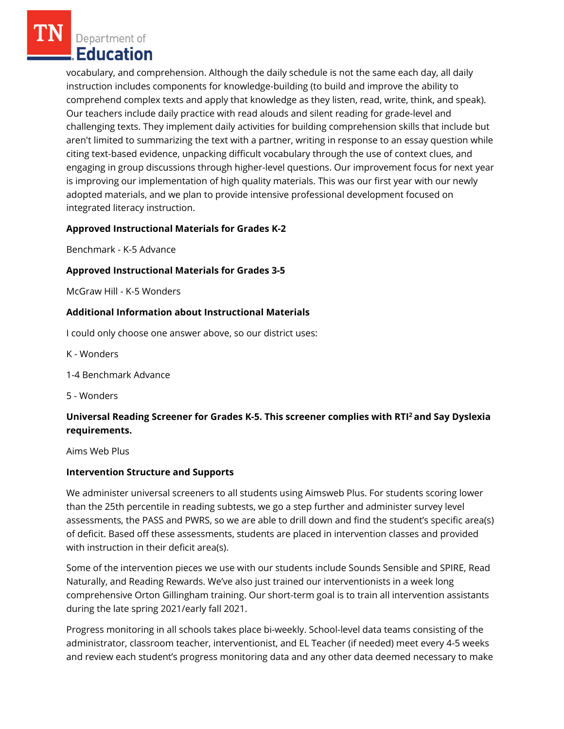Department of Education

vocabulary, and comprehension. Although the daily schedule is not the same each day, all daily instruction includes components for knowledge-building (to build and improve the ability to comprehend complex texts and apply that knowledge as they listen, read, write, think, and speak). Our teachers include daily practice with read alouds and silent reading for grade-level and challenging texts. They implement daily activities for building comprehension skills that include but aren't limited to summarizing the text with a partner, writing in response to an essay question while citing text-based evidence, unpacking difficult vocabulary through the use of context clues, and engaging in group discussions through higher-level questions. Our improvement focus for next year is improving our implementation of high quality materials. This was our first year with our newly adopted materials, and we plan to provide intensive professional development focused on integrated literacy instruction.

## **Approved Instructional Materials for Grades K-2**

Benchmark - K-5 Advance

## **Approved Instructional Materials for Grades 3-5**

McGraw Hill - K-5 Wonders

### **Additional Information about Instructional Materials**

I could only choose one answer above, so our district uses:

K - Wonders

1-4 Benchmark Advance

5 - Wonders

# **Universal Reading Screener for Grades K-5. This screener complies with RTI<sup>2</sup>and Say Dyslexia requirements.**

Aims Web Plus

#### **Intervention Structure and Supports**

We administer universal screeners to all students using Aimsweb Plus. For students scoring lower than the 25th percentile in reading subtests, we go a step further and administer survey level assessments, the PASS and PWRS, so we are able to drill down and find the student's specific area(s) of deficit. Based off these assessments, students are placed in intervention classes and provided with instruction in their deficit area(s).

Some of the intervention pieces we use with our students include Sounds Sensible and SPIRE, Read Naturally, and Reading Rewards. We've also just trained our interventionists in a week long comprehensive Orton Gillingham training. Our short-term goal is to train all intervention assistants during the late spring 2021/early fall 2021.

Progress monitoring in all schools takes place bi-weekly. School-level data teams consisting of the administrator, classroom teacher, interventionist, and EL Teacher (if needed) meet every 4-5 weeks and review each student's progress monitoring data and any other data deemed necessary to make